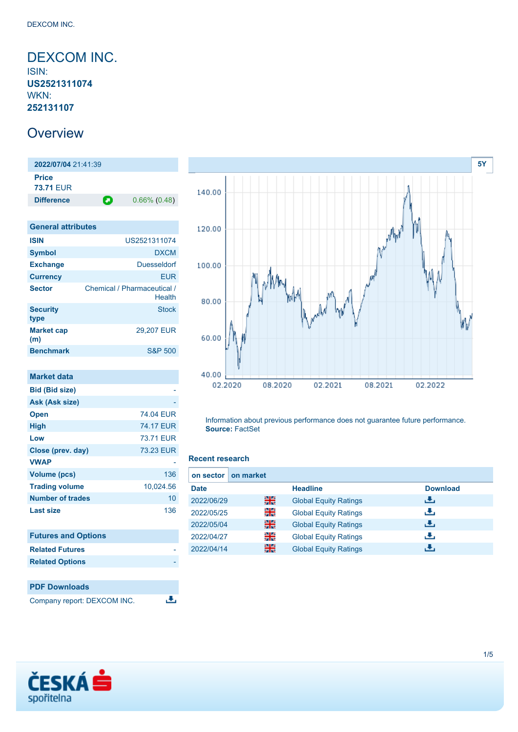## <span id="page-0-0"></span>DEXCOM INC. ISIN: **US2521311074** WKN: **252131107**

# **Overview**

**2022/07/04** 21:41:39 **Price 73.71** EUR **Difference 0.66% (0.48)** 

| <b>General attributes</b> |                                       |
|---------------------------|---------------------------------------|
| <b>ISIN</b>               | US2521311074                          |
| <b>Symbol</b>             | <b>DXCM</b>                           |
| <b>Exchange</b>           | <b>Duesseldorf</b>                    |
| <b>Currency</b>           | <b>EUR</b>                            |
| <b>Sector</b>             | Chemical / Pharmaceutical /<br>Health |
| <b>Security</b><br>type   | Stock                                 |
| <b>Market cap</b><br>(m)  | 29.207 EUR                            |
| <b>Benchmark</b>          | <b>S&amp;P 500</b>                    |

| <b>Market data</b>      |                  |
|-------------------------|------------------|
| <b>Bid (Bid size)</b>   |                  |
| Ask (Ask size)          |                  |
| <b>Open</b>             | 74.04 EUR        |
| <b>High</b>             | <b>74.17 EUR</b> |
| Low                     | 73.71 EUR        |
| Close (prev. day)       | <b>73.23 EUR</b> |
| <b>VWAP</b>             |                  |
| <b>Volume (pcs)</b>     | 136              |
| <b>Trading volume</b>   | 10,024.56        |
| <b>Number of trades</b> | 10               |
| <b>Last size</b>        | 136              |

| <b>Futures and Options</b> |  |
|----------------------------|--|
| <b>Related Futures</b>     |  |
| <b>Related Options</b>     |  |
|                            |  |

## **PDF Downloads** Company report: DEXCOM INC.

**[5Y](#page-0-0)** 140.00 120.00 100.00 80.00 60.00 40.00 02.2020 08.2020 02.2021 08.2021 02.2022

Information about previous performance does not guarantee future performance. **Source:** FactSet

#### **Recent research**

 $\overline{\mathbf{u}}$ 

| on market<br>on sector I |     |                              |                 |
|--------------------------|-----|------------------------------|-----------------|
| <b>Date</b>              |     | <b>Headline</b>              | <b>Download</b> |
| 2022/06/29               | 을중  | <b>Global Equity Ratings</b> | æ,              |
| 2022/05/25               | 읡   | <b>Global Equity Ratings</b> | æ,              |
| 2022/05/04               | 噐   | <b>Global Equity Ratings</b> | æ,              |
| 2022/04/27               | 을   | <b>Global Equity Ratings</b> | æ,              |
| 2022/04/14               | 을 준 | <b>Global Equity Ratings</b> | đ۴,             |

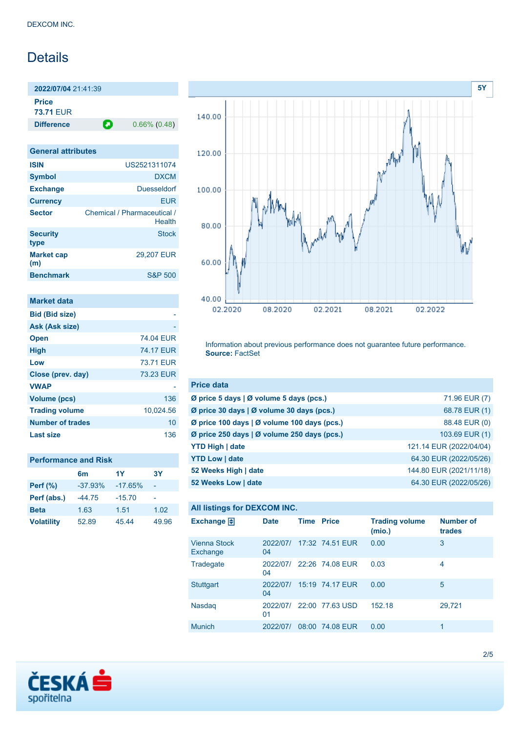# **Details**

**2022/07/04** 21:41:39 **Price 73.71** EUR

**Difference 0.66% (0.48)** 

| <b>General attributes</b>             |
|---------------------------------------|
| US2521311074                          |
| <b>DXCM</b>                           |
| <b>Duesseldorf</b>                    |
| FUR                                   |
| Chemical / Pharmaceutical /<br>Health |
| Stock                                 |
| 29.207 EUR                            |
| <b>S&amp;P 500</b>                    |
|                                       |

| <b>Market data</b>    |                  |
|-----------------------|------------------|
| <b>Bid (Bid size)</b> |                  |
| Ask (Ask size)        |                  |
| <b>Open</b>           | 74.04 FUR        |
| <b>High</b>           | <b>74.17 FUR</b> |
| Low                   | 73.71 FUR        |
| Close (prev. day)     | 73.23 EUR        |
| <b>VWAP</b>           |                  |
| <b>Volume (pcs)</b>   | 136              |
| <b>Trading volume</b> | 10,024.56        |
| Number of trades      | 10               |
| Last size             | 136              |

|                   | 6 <sub>m</sub> | 1Y        | 3Y    |
|-------------------|----------------|-----------|-------|
| <b>Perf</b> (%)   | $-37.93%$      | $-17.65%$ | ۰     |
| Perf (abs.)       | $-44.75$       | $-15.70$  | ۰     |
| <b>Beta</b>       | 1.63           | 1.51      | 1.02  |
| <b>Volatility</b> | 52.89          | 45.44     | 49.96 |



Information about previous performance does not guarantee future performance. **Source:** FactSet

| <b>Price data</b>                                         |                         |
|-----------------------------------------------------------|-------------------------|
| $\emptyset$ price 5 days $\emptyset$ volume 5 days (pcs.) | 71.96 EUR (7)           |
| Ø price 30 days   Ø volume 30 days (pcs.)                 | 68.78 EUR (1)           |
| Ø price 100 days   Ø volume 100 days (pcs.)               | 88.48 EUR (0)           |
| Ø price 250 days   Ø volume 250 days (pcs.)               | 103.69 EUR (1)          |
| <b>YTD High   date</b>                                    | 121.14 EUR (2022/04/04) |
| <b>YTD Low   date</b>                                     | 64.30 EUR (2022/05/26)  |
| 52 Weeks High   date                                      | 144.80 EUR (2021/11/18) |
| 52 Weeks Low   date                                       | 64.30 EUR (2022/05/26)  |

#### **All listings for DEXCOM INC.**

| Exchange $\Box$                 | <b>Date</b>    | <b>Time Price</b> |                 | <b>Trading volume</b><br>(mio.) | <b>Number of</b><br>trades |
|---------------------------------|----------------|-------------------|-----------------|---------------------------------|----------------------------|
| <b>Vienna Stock</b><br>Exchange | 2022/07/<br>04 |                   | 17:32 74.51 EUR | 0.00                            | 3                          |
| Tradegate                       | 2022/07/<br>04 |                   | 22:26 74.08 EUR | 0.03                            | 4                          |
| <b>Stuttgart</b>                | 2022/07/<br>04 |                   | 15:19 74.17 EUR | 0.00                            | 5                          |
| Nasdaq                          | 2022/07/<br>01 |                   | 22:00 77.63 USD | 152.18                          | 29,721                     |
| <b>Munich</b>                   | 2022/07/       |                   | 08:00 74.08 EUR | 0.00                            |                            |

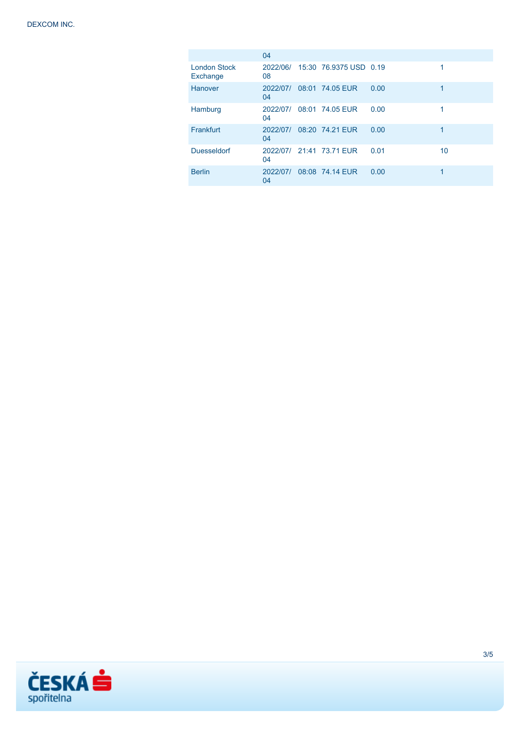|                                 | 04             |                                 |      |    |
|---------------------------------|----------------|---------------------------------|------|----|
| <b>London Stock</b><br>Exchange | 08             | 2022/06/ 15:30 76.9375 USD 0.19 |      | 1  |
| Hanover                         | 2022/07/<br>04 | 08:01 74.05 EUR                 | 0.00 | 1  |
| Hamburg                         | 2022/07/<br>04 | 08:01 74.05 EUR                 | 0.00 |    |
| Frankfurt                       | 2022/07/<br>04 | 08:20 74.21 EUR                 | 0.00 | 1  |
| <b>Duesseldorf</b>              | 04             | 2022/07/ 21:41 73.71 FUR        | 0.01 | 10 |
| <b>Berlin</b>                   | 2022/07/<br>04 | 08:08 74.14 EUR                 | 0.00 | 1  |

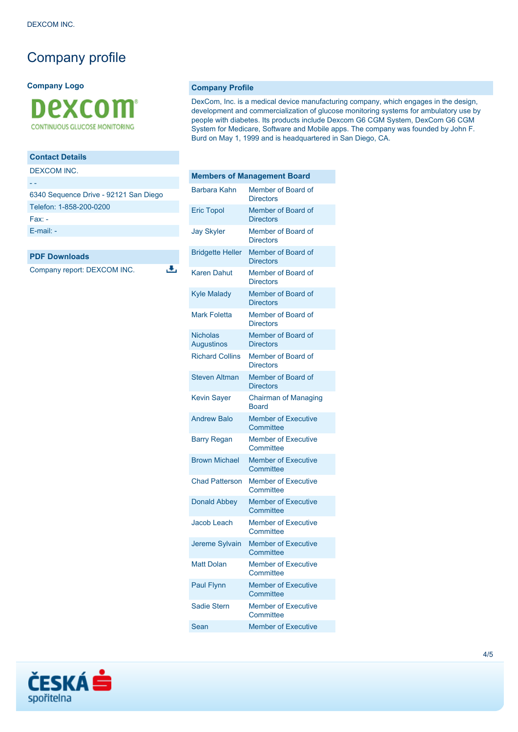# Company profile

**Company Logo**



### **Contact Details**

DEXCOM INC.

| 6340 Sequence Drive - 92121 San Diego |
|---------------------------------------|
| Telefon: 1-858-200-0200               |
| $Fax -$                               |
| $E$ -mail: $-$                        |
|                                       |

J.

#### **PDF Downloads**

Company report: DEXCOM INC.

**Company Profile**

DexCom, Inc. is a medical device manufacturing company, which engages in the design, development and commercialization of glucose monitoring systems for ambulatory use by people with diabetes. Its products include Dexcom G6 CGM System, DexCom G6 CGM System for Medicare, Software and Mobile apps. The company was founded by John F. Burd on May 1, 1999 and is headquartered in San Diego, CA.

| <b>Members of Management Board</b>   |                                             |
|--------------------------------------|---------------------------------------------|
| Barbara Kahn                         | Member of Board of<br><b>Directors</b>      |
| <b>Eric Topol</b>                    | Member of Board of<br><b>Directors</b>      |
| <b>Jay Skyler</b>                    | Member of Board of<br><b>Directors</b>      |
| <b>Bridgette Heller</b>              | Member of Board of<br><b>Directors</b>      |
| <b>Karen Dahut</b>                   | Member of Board of<br><b>Directors</b>      |
| <b>Kyle Malady</b>                   | Member of Board of<br><b>Directors</b>      |
| <b>Mark Foletta</b>                  | Member of Board of<br><b>Directors</b>      |
| <b>Nicholas</b><br><b>Augustinos</b> | Member of Board of<br><b>Directors</b>      |
| <b>Richard Collins</b>               | Member of Board of<br><b>Directors</b>      |
| <b>Steven Altman</b>                 | Member of Board of<br><b>Directors</b>      |
| <b>Kevin Sayer</b>                   | <b>Chairman of Managing</b><br><b>Board</b> |
| <b>Andrew Balo</b>                   | <b>Member of Executive</b><br>Committee     |
| <b>Barry Regan</b>                   | <b>Member of Executive</b><br>Committee     |
| <b>Brown Michael</b>                 | <b>Member of Executive</b><br>Committee     |
| <b>Chad Patterson</b>                | <b>Member of Executive</b><br>Committee     |
| <b>Donald Abbey</b>                  | <b>Member of Executive</b><br>Committee     |
| <b>Jacob Leach</b>                   | <b>Member of Executive</b><br>Committee     |
| Jereme Sylvain                       | <b>Member of Executive</b><br>Committee     |
| <b>Matt Dolan</b>                    | <b>Member of Executive</b><br>Committee     |
| <b>Paul Flynn</b>                    | <b>Member of Executive</b><br>Committee     |
| <b>Sadie Stern</b>                   | <b>Member of Executive</b><br>Committee     |
| Sean                                 | <b>Member of Executive</b>                  |